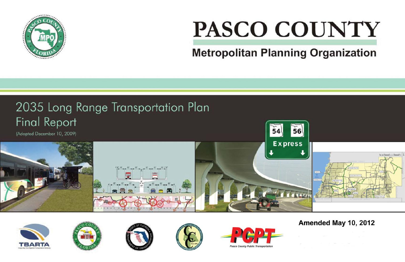

# PASCO COUNTY **Metropolitan Planning Organization**













# Amended May 10, 2012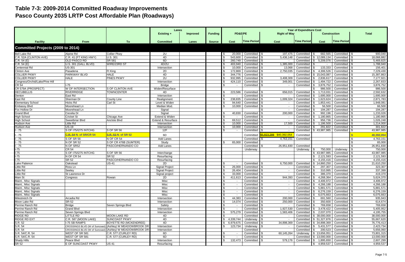## **Table 7-3: 2009-2014 Committed Roadway Improvements Pasco County 2035 LRTP Cost Affordable Plan (Roadways)**

|                                             |                               |                                                          | Lanes                         |                 |                |                  |                                |                                     | <b>Year of Expenditure Cost</b> |                                           |                                              |                        |
|---------------------------------------------|-------------------------------|----------------------------------------------------------|-------------------------------|-----------------|----------------|------------------|--------------------------------|-------------------------------------|---------------------------------|-------------------------------------------|----------------------------------------------|------------------------|
|                                             |                               |                                                          | <b>Existing +</b>             | <b>Improved</b> | <b>Funding</b> | PD&E/PE          |                                | <b>Right of Way</b>                 |                                 | <b>Construction</b>                       | <b>Total</b>                                 |                        |
|                                             |                               |                                                          |                               |                 |                |                  |                                |                                     |                                 |                                           |                                              |                        |
| <b>Facility</b>                             | <b>From</b>                   | <b>To</b>                                                | <b>Committed</b>              | Lanes           | <b>Source</b>  | Cost             | <b>Time Period</b>             | Cost                                | <b>Time Period</b>              | Cost                                      | <b>Time Period</b>                           |                        |
|                                             |                               |                                                          |                               |                 |                |                  |                                |                                     |                                 |                                           |                                              |                        |
| <b>Committed Projects (2009 to 2014)</b>    |                               |                                                          |                               |                 |                |                  |                                |                                     |                                 |                                           |                                              |                        |
| <b>Bell Lake Rd</b>                         | Alpine Rd                     | <b>Collier Pkwy</b>                                      | 2U                            |                 |                | 20,000           | Committed \$                   |                                     | 197,475 Committed \$            |                                           | 682,565 Committed \$                         | 900,040                |
| C.R. 52A (CLINTON AVE)                      | C.R. 41 (FT KING HWY)         | U.S. 301                                                 | 4D                            |                 |                | 543,600          | Committed S                    | 5,436,148                           |                                 | Committed \$ 12,089,134                   | Committed \$                                 | 18,068,882             |
| C.R. 54(E)                                  | <b>OLD PASCO RD</b>           | <b>SR 581</b>                                            | 6D                            |                 |                | 260,749          | Committed                      | $\sim$                              | Committed                       | 5,209,076<br>- SS                         | Committed                                    | 5,469,825              |
| C.R. 54(E)                                  | U.S. 301 (GALL BLVD)          | WIRE/23RD ST                                             | 4D/2U                         |                 |                | 403,940          | Committed S                    | 1,385,000                           | Committed                       |                                           | Committed \$                                 | 1,788,940              |
| Centennial Rd                               | <b>US-301</b>                 |                                                          | Intersection                  |                 |                | 10,000           | Committed                      | 13,068                              | Committed                       | 133,333                                   | Committed                                    | 156,401                |
| <b>Clinton Ave</b>                          | Pasadena                      | <b>Ft King</b>                                           | 2D                            |                 |                | 172,869          | Committed                      | 2,750,035                           | Committed                       | 4,306,526                                 | Committed                                    | 7,229,430              |
| <b>COLLIER PKWY</b>                         | <b>PARKWAY BLVD</b>           | <b>HALE</b>                                              | 4D                            |                 |                | 344,776          | Committed                      |                                     | Committed                       | \$15.043.087                              | Committed                                    | 15,387,863             |
| <b>COLLIER PKWY</b>                         | <b>HALE</b>                   | <b>PINES PKWY</b>                                        | 2U                            |                 |                | 932,995          | Committed                      | 3,408,309                           | Committed                       | 2,836,617                                 | Committed   9                                | 7,177,921              |
| Congress/Orchid/Lake/Pine Hill<br>CR 54     | $I-75$                        |                                                          | Intersection<br><b>Bridge</b> |                 |                | 424,110          | Committed<br>Committed         | 349,001                             | Committed<br>Committed          | 1,494,722<br>3,876,752<br>IS.             | Committed<br>Committed                       | 2,267,833<br>3,876,752 |
| CR 579A (PROSPECT)                          | <b>W OF INTERSECTION</b>      | S OF CLINTON AVE                                         | Widen/Resurface               |                 |                |                  |                                |                                     |                                 | 986,500<br>\$.                            | Committed \$                                 | 986,500                |
| <b>DECUBELLIS</b>                           | <b>RIVERRIDGE</b>             | <b>TOWNCENTER</b>                                        | 4D                            |                 |                | 223,586          | Committed                      | 656,015                             | Committed                       | 1,713,03'                                 | Committed                                    | 2,592,632              |
| Denton                                      | East Rd                       |                                                          | Intersection                  |                 |                |                  | Committed                      |                                     | Committed                       | 1,695,000                                 | Committed                                    | 1,695,000              |
| East Rd                                     | Sherman Dr                    | <b>County Line</b>                                       | Realignment                   |                 |                | 238,835          | Committed                      | 1,009,324                           | Committed                       | 1,623,624<br>S.                           | Committed                                    | 2,871,783              |
| <b>Elementary School</b>                    | <b>Hicks Rd</b>               | Carl St                                                  | Level & Widen                 |                 |                | 94.640           | Committed                      | $\sim$                              | Committed                       | 1,853,441<br>IS.                          | Committed   \$                               | 1,948,081              |
| <b>Embassy Blvd</b>                         | Moorehead Ln                  |                                                          | Median Mod.                   |                 |                | 10,000           | Committed                      | $\sim$                              | Committed                       | 56,500                                    | Committed                                    | 66,500                 |
| Fox Hollow Dr                               | Moorehead Ln                  |                                                          | Signal                        |                 |                |                  |                                |                                     | Committed                       | 194,287                                   | Committed                                    | 194,287                |
| <b>Grand Blvd</b>                           | Cecelia Dr                    |                                                          | Signal                        |                 |                | 40,830           | Committed                      | 200,000                             | Committed                       | 992,196                                   | Committed                                    | 1,233,026              |
| <b>High School</b>                          | <b>Cricket St</b>             | Chicago Ave                                              | Extend & Widen                |                 |                |                  | Committed                      | $\sim$                              | Committed                       | 1,180,865                                 | Committed                                    | 1,180,865              |
| <b>High School</b>                          | Sweetbriar Blvd               | Anclote Blvd                                             | <b>Extend &amp; Resurface</b> |                 |                | 69,51            | Committed                      | $\sim$                              | Committed                       | 956,736                                   | Committed                                    | 1,026,248              |
| <b>Hudson Ave</b>                           | <b>Little Rd</b>              |                                                          | Intersection                  |                 |                | 10,000           | Committed                      | 17,500                              | Committed                       | 1,186,500                                 | Committed                                    | 1,214,000              |
| Hudson Ave                                  | <b>US-19</b>                  |                                                          | Intersection                  |                 |                | 10.000           | Committed                      | $\sim$                              | Committed                       | 291,822                                   | Committed                                    | 301,822                |
| $-75$                                       | S OF 175/1275 INTCHG          | S OF SR 56                                               | 12F                           |                 |                |                  | Committed S                    |                                     | Committed                       | \$43,987,985                              | Committed                                    | 43,987,985             |
| $-75$                                       | <b>C.R. 54 N. of SR/CR 54</b> | S.R. 52-N. of SR 52                                      | 6D                            |                 |                |                  | Committed                      | <mark>5,823,288 \$40,392,054</mark> | Committed                       |                                           |                                              | 40,392,054             |
| - 75                                        | S OF SR 56                    | N OF CR 54                                               | <b>Add Lanes</b>              |                 |                |                  | Committed                      | 4,763,151                           | Committed                       |                                           |                                              | 4,763,151              |
| - 75                                        | N OF SR 52                    | S OF CR 476B (SUMTER)                                    | Study                         |                 |                | 65,000           | Committed                      |                                     |                                 |                                           |                                              | 65,000                 |
| - 75                                        | N OF SR52                     | PASCO/HERNANDO CO                                        | <b>Add Lanes</b>              |                 |                |                  | Committed                      | 26,951,830                          | Committed                       |                                           |                                              | 26,951,830             |
| $I-75$                                      | <b>CR 54</b>                  |                                                          |                               |                 |                |                  | Underway                       |                                     | Underway                        | 750,000                                   | Underway                                     | 750,000                |
| $1 - 75$                                    | S OF 175/1275 INTCHG          | S OF SR 56                                               | Interchange                   |                 |                |                  |                                |                                     |                                 | 43,987,985                                | Committed                                    | 43,987,985             |
| $1-75$                                      | N OF CR 54                    | <b>SR 52</b>                                             | Resurfacing                   |                 |                |                  |                                |                                     |                                 | 2,121,593                                 | Committed                                    | 2,121,593              |
| $I-75$                                      | <b>SR 52</b>                  | PASCO/HERNANDO CO                                        | Resurfacing                   |                 |                |                  |                                |                                     |                                 | 4,155,416                                 | Committed                                    | 4,155,416              |
| Lake Patience                               | Oakstead                      | <b>US-41</b>                                             | 2D                            |                 |                |                  | Committed S                    | 6,750,000                           | Committed                       | \$14,860,250                              | Committed   \$                               | 21,610,250             |
| Little Rd                                   | Ross Ln                       |                                                          | Signal Project                |                 |                | 26,000           | Committed                      | $\sim$                              | Committed                       | 297,307                                   | Committed                                    | 323,307                |
| Little Rd                                   | Seeley                        |                                                          | <b>Signal Project</b>         |                 |                | 26,404           | Committed   \$                 |                                     | Committed S                     |                                           | 310,995 Committed \$                         | 337,399                |
| Little Rd                                   | St Lawrence Dr                |                                                          | Signal project                |                 |                |                  | 33,000 Committed \$            |                                     | Committed \$                    |                                           | 386,370 Committed \$                         | 419,370                |
| $\frac{2.000 \times 100}{2.000 \times 100}$ | Congress                      | Rowan                                                    | 2D                            |                 |                |                  | 411,613 Committed \$           | 944,393                             |                                 | Committed $\$\$ 4,268,364 Committed $\$\$ |                                              | 5,624,370              |
| Maint., Misc Signals                        |                               |                                                          | Misc                          |                 |                |                  | Committed \$                   |                                     |                                 | Committed \$ 4,406,972 Committed \$       |                                              | 4,406,972              |
| Maint., Misc Signals                        |                               |                                                          | Misc                          |                 |                |                  | Committed \$                   |                                     |                                 | Committed \$ 4,266,188 Committed \$       |                                              | 4,266,188              |
| Maint., Misc Signals                        |                               |                                                          | Misc                          |                 |                |                  | Committed \$                   | $\sim$ 10 $\pm$                     | Committed                       | IS.                                       | 5,881,571 Committed \$                       | 5,881,571              |
| Maint., Misc Signals                        |                               |                                                          | Misc                          |                 |                |                  | Committed \$                   |                                     | Committed                       | IS.                                       | 6,276,159 Committed \$                       | 6,276,159              |
| Maint., Misc Signals<br>Milestretch Dr      |                               |                                                          | Misc                          |                 |                | S                | Committed \$                   |                                     | Committed                       | \$ 6,075,663 Committed \$                 |                                              | 6,075,663              |
| Moon Lake Rd                                | Arcadia Rd<br><b>SR-52</b>    |                                                          | Intersection                  |                 |                | 44,383<br>14,074 | Committed \$                   | 200,000<br>250,000                  | Committed                       |                                           | 691,560 Committed \$<br>350,600 Committed \$ | 935,943<br>614,674     |
| Perrine Ranch Rd                            | <b>Bridge</b>                 | Seven Springs Blvd                                       | Intersection<br>Safety        |                 |                |                  | Committed \$<br>Committed 1 \$ |                                     | Committed \$<br>Committed \$    | 769,658                                   | Committed \$                                 | 769,658                |
| Perrine Ranch Rd                            | <b>Grand Blvd</b>             |                                                          | Intersection                  |                 |                | \$.              | Committed \$                   | 1,927,530                           |                                 | Committed \$ 3,478,422                    | Committed \$                                 | 5,405,952              |
| Perrine Ranch Rd                            | Seven Springs Blvd            |                                                          | Intersection                  |                 |                | 575,279          | Committed                      | 1,583,406                           | Committed                       | $\frac{1}{2}$ 2,037,070                   | Committed                                    | 4,195,755              |
| <b>RIDGE RD</b>                             | <b>LITTLE RD</b>              | <b>MOON LAKE RD</b>                                      | 4D                            |                 |                |                  | Committed                      | $\sim$                              |                                 | Committed \$ 38,000,000                   | Committed                                    | 38,000,000             |
| <b>RIDGE RD EXT</b>                         | C.R. 587 (MOON LAKE)          | <b>SUNCOAST PKWY</b>                                     | 4D                            |                 |                | 4,339,744        | Underway                       | $\sim$ $-$                          | Committed                       | $\frac{1}{5}$ 51,327,876                  | Committed                                    | 55,667,620             |
|                                             | I-75 SB RAMPS                 | <b>BOYETTE RD (MCKENDREE)</b>                            | 4D                            |                 |                | 6,979,675        | Committed                      | 34,898,369                          | Committed                       | \$34,898,369                              | Committed                                    | 76,776,413             |
| S.R. 52<br>S.R. 54                          |                               | CROSSINGS BLVD (W of Suncoast) (Ashley) W MEADOWBROOK DR | <b>Intersection</b>           |                 |                | 123,734          | Underway                       |                                     | Committed                       | \$ 5,431,577 Committed                    |                                              | 2,423,734              |
| S.R. 54                                     |                               | CROSSINGS BLVD (W of Suncoast) (Ashley) W MEADOWBROOK DR | Intersection                  |                 |                |                  | Committed                      |                                     | Committed                       | $\sqrt{3}$                                | 200,523 Committed                            | 5,656,060              |
| S.R. 54/C.R. 54                             | WEST OF SR 581                | C.R. 577 (CURLEY RD)                                     | 6D                            |                 |                |                  | Committed                      | 60,145,264                          | Underway                        | \$13,656,051                              | Committed                                    | 73,801,315             |
| S.R. 54/C.R. 54                             | WEST OF SR 581                | C.R. 577 (CURLEY RD)                                     | 6D                            |                 |                |                  | Committed \$                   |                                     |                                 | Committed \$ 13,000,000 Committed \$      |                                              | 13,000,000             |
| <b>Shady Hills</b>                          | Peace Blvd                    |                                                          | Intersection                  |                 |                | 132,473          | Committed \$                   | 579,176                             |                                 | Committed \$ 1,895,650 Committed \$       |                                              | 2,607,299              |
| SR 52                                       | E OF SUNCOAST PKWY            | <b>US 41</b>                                             | Resurfacing                   |                 |                |                  |                                |                                     |                                 | $\frac{1}{2}$ 4,959,537 Committed \$      |                                              | 4,959,537              |
|                                             |                               |                                                          |                               |                 |                |                  |                                |                                     |                                 |                                           |                                              |                        |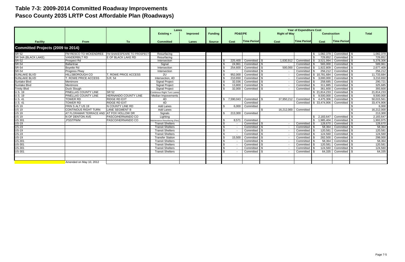## **Table 7-3: 2009-2014 Committed Roadway Improvements Pasco County 2035 LRTP Cost Affordable Plan (Roadways)**

|                                   |                                          |                                                  | Lanes<br>Existing +           | <b>Improved</b> | <b>Funding</b> | PD&E/PE   |                    | <b>Right of Way</b> | <b>Year of Expenditure Cost</b> | <b>Construction</b> |                    | <b>Total</b> |  |
|-----------------------------------|------------------------------------------|--------------------------------------------------|-------------------------------|-----------------|----------------|-----------|--------------------|---------------------|---------------------------------|---------------------|--------------------|--------------|--|
|                                   |                                          |                                                  |                               |                 |                |           |                    |                     |                                 |                     |                    |              |  |
| <b>Facility</b>                   | <b>From</b>                              | To                                               | <b>Committed</b>              | Lanes           | <b>Source</b>  | Cost      | <b>Time Period</b> | Cost                | <b>Time Period</b>              | <b>Cost</b>         | <b>Time Period</b> |              |  |
| Committed Projects (2009 to 2014) |                                          |                                                  |                               |                 |                |           |                    |                     |                                 |                     |                    |              |  |
| <b>SR 52</b>                      |                                          | FM RESCO TO MCKENDREE FM SHAKESPEARE TO PROSPECT | Resurfacing                   |                 |                |           |                    |                     |                                 | 1,082,379<br>\$     | Committed \$       | 1,082,379    |  |
| SR 54A (BLACK LAKE)               | <b>VANDERBILT RD</b>                     | E OF BLACK LAKE RD                               | Resurfacing                   |                 |                |           |                    |                     |                                 | 729,852             | Committed          | 729,852      |  |
| <b>SR-52</b>                      | <b>Prospect Rd</b>                       |                                                  | Intersection                  |                 |                | 225.400   | Committed          | 1,630,912           | Committed                       | 3.521.994           | Committed          | 5,378,306    |  |
| <b>SR-54</b>                      | Ballantrae                               |                                                  | Signal                        |                 |                | 24,96     | Committed          |                     | Committed                       | 565,000             | Committed          | 589,961      |  |
| <b>SR-54</b>                      | <b>Bovette Rd</b>                        |                                                  | Intersection                  |                 |                | 254,600   | Committed          | 500.000             | Committed                       | 1.922.809           | Committed          | 2,677,409    |  |
| <b>SR-54</b>                      | Progress Pkwy                            |                                                  | Intersection                  |                 |                |           | Committed          |                     | Committed                       | 256.212             | Committed          | 256,212      |  |
| <b>SUNLAKE BLVD</b>               | <b>HILLSBOROUGH CO</b>                   | T. ROWE PRICE ACCESS                             | 2U                            |                 |                | 952,000   | Committed          |                     | Committed                       | 10.781.684          | Committed          | 11,733,684   |  |
| <b>SUNLAKE BLVD</b>               | <b>T. ROWE PRICE ACCESS</b>              | S.R. 54                                          | Intersection, 4D              |                 |                | 210.650   | Committed          |                     | Committed                       | 3.000.000           | Committed          | 3,210,650    |  |
| Sunlake Blvd                      | Mentmore                                 |                                                  | <b>Signal Project</b>         |                 |                | 32,036    | Committed          |                     | Committed                       | 258,685             | Committed          | 290,721      |  |
| Sunlake Blvd                      | Mentmore                                 |                                                  | <b>Signal Project</b>         |                 |                | 13,800    | Committed          |                     | Committed                       | 311,885             | Committed          | 325,685      |  |
| <b>Trinity Blvd</b>               | Duck Slough                              |                                                  | <b>Signal Project</b>         |                 |                | 32,000    | Committed          |                     | Committed                       | 361,600             | Committed          | 393,600      |  |
| U.S. 19                           | PINELLAS COUNTY LINE                     | <b>SR 52</b>                                     | Continous Right Turn Lanes    |                 |                |           |                    |                     |                                 | \$21.814.233        | Committed          | 21,814,233   |  |
| <b>U.S. 19</b>                    | PINELLAS COUNTY LINE                     | <b>HERNANDO COUNTY LINE</b>                      | Median Impovements            |                 |                |           |                    |                     |                                 | 9.500.000           | Committed 9        | 9,500,000    |  |
| <b>U.S. 41</b>                    | <b>TOWER RD</b>                          | <b>RIDGE RD EXT</b>                              | 4D                            |                 |                | 7,590,043 | Committed          | 37,950,212          | Committed                       | 4,475,306<br>I SG   | Committed          | 50,015,561   |  |
| U.S.41                            | <b>TOWER RD</b>                          | <b>RIDGE RD EXT</b>                              | 4D                            |                 |                |           | Committed          |                     | Committed                       | \$33,474,906        | Committed          | 33,474,906   |  |
| <b>US 19</b>                      | FRIN S ALT US 19                         | IN COUNTY LINE RD                                | <b>Add Lanes</b>              |                 |                | 6.000     | Committed          |                     |                                 |                     |                    | 6,000        |  |
| <b>US 19</b>                      | <b>CONTINOUS RIGHT TURN</b>              | <b>LANE SEGMENT B</b>                            | <b>Add Lanes</b>              |                 |                |           |                    | 16.212.000          | Committed                       |                     |                    | 16,212,000   |  |
| <b>US 19</b>                      | AT FLORAMAR TERRACE AND AT FOX HOLLOW DR |                                                  | Signals                       |                 |                | 213.300   | Committed          |                     |                                 |                     |                    | 213,300      |  |
| <b>US 19</b>                      | N OF DENTON AVE                          | PASCO/HERNANDO CO                                | Lighting                      |                 |                |           |                    |                     |                                 | 2,183,647           | Committed          | 2,183,647    |  |
| <b>US 301</b>                     | ,PSSTPWM                                 | PASCO/HERNANDO CO                                | Maintenance Resurfacing (Flex |                 |                | 8,57      | Committed          |                     |                                 | 1,985,404           | Committed          | 1,993,975    |  |
| <b>US-19</b>                      |                                          |                                                  | <b>Transit Shelters</b>       |                 |                |           | Committed          |                     | Committed                       | 128,670             | Committed          | 128,670      |  |
| <b>US-19</b>                      |                                          |                                                  | <b>Transit Shelters</b>       |                 |                |           | Committed          |                     | Committed                       | 58,364              | Committed          | 58,364       |  |
| $US-19$                           |                                          |                                                  | <b>Transit Shelters</b>       |                 |                | \$.       | Committed          |                     | Committed                       | 120,581             | Committed          | 120,581      |  |
| <b>US-19</b>                      |                                          |                                                  | <b>Transit Shelters</b>       |                 |                |           | Committed          |                     | Committed                       | 124,560             | Committed          | 124,560      |  |
| <b>US-19</b>                      |                                          |                                                  | <b>Transfer Station</b>       |                 |                | 15,500    | Committed          |                     | Committed                       | 282,500             | Committed          | 298,000      |  |
| <b>US-301</b>                     |                                          |                                                  | <b>Transit Shelters</b>       |                 |                |           | Committed          |                     | Committed                       | 58,364              | Committed          | 58,364       |  |
| <b>US-301</b>                     |                                          |                                                  | <b>Transit Shelters</b>       |                 |                |           | Committed          |                     | Committed                       | 120,581             | Committed          | 120,581      |  |
| <b>US-301</b>                     |                                          |                                                  | <b>Transit Shelters</b>       |                 |                |           | Committed          |                     | Committed                       | 124.560             | Committed          | 124.560      |  |
| US-301                            |                                          |                                                  | <b>Transit Shelters</b>       |                 |                |           | Committed          |                     | Committed                       | 64.335              | Committed          | 64,335       |  |
|                                   |                                          |                                                  |                               |                 |                |           |                    |                     |                                 |                     |                    |              |  |
|                                   | Amended on May 10, 2012                  |                                                  |                               |                 |                |           |                    |                     |                                 |                     |                    |              |  |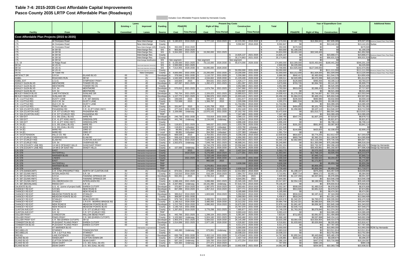### **Table 7-4: 2015-2035 Cost Affordable Capital Improvements Pasco County 2035 LRTP Cost Affordable Plan (Roadways)**

#### Includes Cost Affordable Projects funded by Hernando County

|                                                  |                                                           |                                                        | Lanes            |                                            |                             |                                       |                                | <b>Present Day Costs</b>                          |                                   |                                            |                          |                            | <b>Additional Notes</b>     |                              |                              |                                                |
|--------------------------------------------------|-----------------------------------------------------------|--------------------------------------------------------|------------------|--------------------------------------------|-----------------------------|---------------------------------------|--------------------------------|---------------------------------------------------|-----------------------------------|--------------------------------------------|--------------------------|----------------------------|-----------------------------|------------------------------|------------------------------|------------------------------------------------|
|                                                  |                                                           |                                                        | Existing $+$     | <b>Improved</b>                            | <b>Funding</b>              | PD&E/PE                               |                                | <b>Right of Way</b>                               | <b>Construction</b>               |                                            | <b>Total</b>             |                            |                             |                              |                              |                                                |
| <b>Facility</b>                                  | From                                                      | To                                                     | <b>Committed</b> | Lanes                                      | <b>Source</b>               | Cost                                  | <b>Time Period</b>             | Time Period<br>Cost                               | Cost                              | <b>Time Period</b>                         |                          | PD&E/PE                    | <b>Right of Way</b>         | <b>Construction</b>          | Total                        |                                                |
| Cost Affordable Plan Projects (2015 to 2035)     |                                                           |                                                        |                  |                                            |                             |                                       |                                |                                                   |                                   |                                            |                          |                            |                             |                              |                              |                                                |
| l-75                                             | At Overpass Road                                          |                                                        |                  | New Interchange                            |                             | County \$ 5,180,823 2016-2020 \$      |                                | 9,777,110 2016-2020 \$                            | 42,215,391 2016-2020 \$           |                                            | 57,173,324               | \$7,097,728                | \$13,394,641                | \$57,835,085                 |                              | \$78,327,453 Revenue (Impact Fees, Prop Share) |
| $-75$                                            | At Overpass Road                                          |                                                        |                  | New Interchange                            | County                      |                                       |                                |                                                   | 9.592.847                         | 2016-2020                                  | 9.592.847                | \$0                        | \$Ր                         | \$13,142,20'                 | \$13,142.20                  | iurtax                                         |
| l-75<br>l-75                                     | At Overpass Road<br>At SR 56                              |                                                        |                  | New Interchange (I<br>nterchange Rec.      | County<br>SIS               | 350,000                               | 2016-2020<br>803,000 2016-2020 |                                                   |                                   |                                            | 350,000<br>803,000       | \$479,500<br>\$1,190,235   |                             |                              | \$479,50<br>\$1,190,2        |                                                |
| $1 - 75$                                         | At SR 56<br>At SR 56                                      |                                                        |                  | nterchange Rec                             | SIS                         | 5,564,000                             | 2021-2025                      | 19,260,000 2021-2025                              | 14.825.137                        |                                            | 24,824,000<br>14,825,137 | \$9,403,160                | \$32,549,400                |                              | \$41.952.56                  |                                                |
| l-75<br>l-75                                     | At SR 56                                                  |                                                        |                  | nterchange Rec.<br>nterchange Rec.         | County<br>County            |                                       |                                |                                                   | 35,174,863                        | 2021-2025<br>2021-2025                     | 35,174,863               | - 30<br>\$0                |                             | \$23,868,47<br>\$56,631,52   | \$23,868,47<br>\$56,631,5    | evenue (Impact Fees, Prop Share)<br>iurtax     |
| l-75                                             | At SR 52                                                  |                                                        |                  | nterchange Modificat                       | SIS                         | See segment                           |                                | See segment                                       | See segment                       |                                            |                          | \$10,309,000               |                             | \$180,441,26                 | \$346,201,1                  |                                                |
| U.S. 1<br>SR 54                                  | At Ridge Road<br>At US 41                                 |                                                        |                  | lew Grade Seperation Inter                 | SIS<br>SIS                  | 6,100,000<br>2,500,000                | 2021-2025<br>2021-2025         | 2026-2030<br>78,116,000                           | 90,674,000                        | 2026-2030                                  | 174,890,000<br>2,500,00  | \$4,225,000                | \$155,450,840               |                              | \$4,225,0                    |                                                |
| SR 54<br>SR 54                                   | At US 41<br>At US 41                                      |                                                        |                  | New Grade Seperation Inters                | SIS<br>County               | \$ 7,614,955                          | 2026-2030                      | 64,095,000 2026-2030                              | 50.050.000 2031-2035              |                                            | 71,709,955<br>50.050.000 | \$14,925,000               | \$127,549,050               | \$111,111,00                 | \$142,474,05<br>\$111.111.00 | evenue (Impact Fees, Prop Share)               |
| US 41                                            | At Tower Rd                                               |                                                        |                  | New Grade Seperation Inter<br>New Overpass | County                      | $-4.600,000$   2031-2035              |                                | 23,200,000<br>2031-2035                           | 23,200,000                        | 2031-2035                                  | 51,000,000               | \$10,212,000               | \$51,504,000                | \$51,504,00                  | \$113,220,00                 | enue (Impact Fees, Prop Share                  |
| <b>ARTIFACT DR</b>                               | S.R.54<br><b>ROACHES RUN</b>                              | EILAND BLVD<br>SR 52                                   | $00\,$<br>00     | 2U                                         | Developer<br>Developer      | 378,566<br>1,545,500                  | 2031-2035                      | 1.110.737<br>2031-2035<br>4,534,602               | 5,200,080<br>21,229,409           | 2031-2035                                  | 6,689,38                 | \$840,417<br>\$2,920,995   | \$2,465,83<br>\$8,570,39    | \$11,544,17                  | \$14,850,43                  |                                                |
| ASBEL<br>ASBEL EXT                               | <b>U.S.41</b>                                             | <b>SYMPHONY PKWY</b>                                   | 00               | 2U<br>2U                                   | County                      | 103,826                               | 2026-2030<br>2015              | 2026-2030<br>304,631<br>2021-2025                 | 1,426,177                         | 2026-2030<br>2031-2035                     | 27,309,51<br>1,834,634   | \$126,668                  | \$490,456                   | \$40,123,58<br>\$3,166,11    | \$51,614,97<br>\$3,783,23    |                                                |
| ASHLEY GLEN BLVD<br>ASHLEY GLEN BLVD             | <b>MENTMORE</b><br><b>MENTMORE</b>                        | TOWER RD (S<br>TOWER RD (S                             | 00<br>00         | 4D<br>4D                                   | Developer<br>County         | 437,097                               | 2021-2025                      | 1,282,472<br>2021-2025                            | 1,951,097<br>4,052,985            | 2021-2025<br>2021-2025                     | 3,670,666<br>4.052.985   | \$703,726<br>- \$0         | \$2,064,780                 | \$3.141.26<br>\$6,525,305    | \$5,909.77<br>\$6.525.30     |                                                |
| <b>ASHLEY GLEN BLVD</b>                          | S.R. 54                                                   | <b>MENTMORE</b>                                        | 00               | 4D                                         | Developer                   |                                       | 570,810 2021-2025              | 1,674,794<br>2021-2025                            | 2,547,960                         | 2021-2025                                  | 4,793,564                | \$919,004                  | \$2,696,418                 | \$4,102,21                   | \$7,717,63                   |                                                |
| <b>ASHLEY GLEN BLVD</b><br>BEXLEY RANCH BLVD     | S.R. 54<br><b>LAKE PATIENCE</b>                           | <b>MENTMORE</b><br>SUNLAKE DR                          | 00               | 4D                                         | County                      |                                       |                                | 2021-2025                                         | 5,292,837<br>10,889,623           | 2021-2025<br>2021-2025                     | 5,292,837<br>14,008,41   | \$1,276,350                | \$3,744,897                 | \$8.521.46<br>\$17,532,29    | \$8,521,46<br>\$22,553,54    |                                                |
| BEXLEY RANCH BLVD                                | SUNLAKE DR                                                | <b>DREXEL</b>                                          | 00<br>00         | 2U<br>2U                                   | Developer<br>Developer      | 792,764<br>1,157,772                  | 2021-2025<br>2021-2025         | 2,326,023<br>2021-2025<br>3,396,976               | 15,903,445                        | 2021-2025                                  | 20,458,193               | \$1,864,013                | \$5,469,13                  | \$25,604,546                 | \$32,937,69                  |                                                |
| C.R. 1 (LITTLE RD)                               | <b>DUSTY LANE</b>                                         | C.R. 587 (MASS)                                        | 4D<br>4D         | 6D                                         | County                      | 193,035                               | 2015                           | 566,37<br>2015                                    | 2,651,577                         | 2016-2020                                  | 3,410,98                 | \$235,503                  | \$690,980                   | \$3,632,660                  | \$4,559,14                   |                                                |
| C.R. 1 (LITTLE RD)<br>C.R. 1 (LITTLE RD)         | <b>OLD C.R. 54</b><br><b>OLD C.R. 54</b>                  | <b>DUSTY LANE</b><br><b>DUSTY LANE</b>                 | 4D               | 6D<br>6D                                   | County<br>TRIP              | 722,569                               | 2015                           | 1,306,797<br>2015                                 | 2,326,008<br>11.744.091           | 2016-2020<br>2016-2020                     | 4,355,374<br>11,744,09   | \$881,534                  | \$1,594,292                 | \$3,186,63<br>\$16,089,40    | \$5,662,45<br>\$16,089.40    |                                                |
| C.R. 1 (LITTLE RD                                | <b>TRINITY BLVD</b>                                       | S.R. 54<br>C.R. 41 (FT KING HWY)                       | 4D<br>2U         | 6D<br>4D                                   | County                      | 331,847                               | 2015                           | 2015<br>4,181,758                                 | 7,499,755                         | 2016-2020                                  | 12,013,360               | \$404,853                  | \$5,101,745                 | \$10,274,664                 | \$15,781,26<br>\$18,712.53   |                                                |
| C.R. 52A (CLINTON AVE)<br>C.R. 52A (CLINTON AVE) | PASADENA RD<br>C.R. 577 (CURLEY RD)                       | PASADENA RD                                            | 2U               | 4D                                         | County<br>County            | 477.018<br>2,339,695                  | 2031-2035<br>Underway          | 1.399.603<br>2031-2035<br>13,970,143<br>2031-2035 | 6,552,449<br>37, 162, 792         | 2031-2035<br>2031-2035                     | 8,429,07<br>53,472,63    | \$1,058,980<br>\$0         | \$3,107,119<br>\$31,013,71  | \$14,546,43<br>\$82,501,39   | \$113,515,11                 |                                                |
| C.R. 52A (CLINTON AVE)                           | C.R. 577 (CURLEY RD)                                      | PASADENA RD                                            | 2U               | 4D                                         | TRIP                        |                                       |                                |                                                   | 7,247,480                         | 2031-2035                                  | 7,247,480                | \$0                        |                             | \$16,089,40                  | \$16,089,40                  |                                                |
| C.R. 530 EXT<br>C.R. 530 EXT                     | U.S. 301 (GALL BLVD)<br>C.R. 41 (FT KING HWY)             | WIRE RD<br><b>GREENSLOPE</b>                           | 00<br>00         | 2U<br>4D                                   | Developer<br>Developer      | 246,730<br>441,748                    | 2031-2035<br>Underway          | 723,919<br>2031-2035<br>2,134,049<br>Underway     | 3,389,13<br>4,249,541             | 2031-2035<br>2016-2020                     | 4,359,780<br>6,825,338   | \$547,741<br>\$0           | \$1,607,10                  | \$7,523,87<br>\$5,821,87     | \$9,678,7<br>\$5,821,87      |                                                |
| C.R. 530 EXT                                     | C.R. 41 (FT KING HWY)                                     | <b>GREENSLOPE</b>                                      | 00               | 4D                                         | County                      |                                       |                                |                                                   | 4.896.430                         | 2016-2020                                  | 4.896.430                | \$0                        |                             | \$6,708,11                   | \$6,708.11                   |                                                |
| C.R.54(E)<br>C.R.54(E)                           | U.S. 301 (GALL BLVD)<br>U.S. 301 (GALL BLVD)              | WIRE RD<br>WIRE RD                                     | 2U<br>2U         | 4D<br>4D                                   | County<br>Local             | 118,821                               | 118,821 2021-2025<br>Unfunded  | 349,037<br>2021-2025<br>349,037<br>Unfunded       | 1,633,790<br>1,633,790            | 2026-2030<br>Unfunded                      | 2,101,648<br>2,101,648   | \$191,302<br>\$0           | \$561,950                   | \$3,087,86                   | \$3,841,11                   |                                                |
| C.R.54(E)                                        | <b>WIRE RD</b>                                            | 23RD ST                                                | 2U               | 2D                                         | County                      | 89,991                                | 2021-2025                      | 2021-2025<br>264,350                              | 1,237,383                         | 2026-2030                                  | 1,591,724                | \$144,886                  | \$425,60                    | \$2,338,654                  | \$2,909,14                   |                                                |
| C.R. 54 (E)<br>C.R. 54 EXTENSION                 | WIRE RD<br>HILLS CO. RD                                   | 23RD ST<br>S.R.56                                      | 2U<br>00         | 2D<br>2U                                   | Local<br>Developer          | 89,991<br>669,539                     | Unfunded<br>2015               | 264,350<br>Unfunded<br>2,754,931<br>2016-2020     | 1,237,383<br>9,206,158            | Unfunded<br>2016-2020                      | 1,591,724<br>12,630,628  | <b>\$0</b><br>\$816,837    | \$3,774,255                 | \$12,612,437                 | \$17,203,52                  |                                                |
| C.R. 577 (CURLEY RD                              | <b>OVERPASS RD</b>                                        | <b>ELAM RD</b>                                         | 2U               | 4D                                         | County                      | 506,416                               | 2016-2020                      | 1,485,858<br>2021-2025                            | 6,956,265                         | 2021-2025                                  | 8.948.539                | \$693,790                  | \$2,392,23                  | \$11,199,58                  | \$14,285,60                  |                                                |
| C.R. 577 (CURLEY RD<br>C.R. 577 (CURLEY RD)      | ELAM RD<br>S.R. 54                                        | <b>CLINTON AVE EXT</b><br><b>OVERPASS RD</b>           | 2U<br>00         | 4D<br>4D                                   | County<br>County            | 1,943,781<br>1,502,875                | 2016-2020<br>Underway          | 2021-2025<br>7,526,894<br>7,049,749<br>2021-2025  | 43,929,463<br>46,688,241          | 2021-2025<br>2021-2025                     | 53,400,138<br>55,240,865 | \$2,662,980<br>\$0         | \$12,118,29<br>\$11,350,096 | \$70,726,435<br>\$75,168,06  | \$85,507,71<br>\$86,518.16   |                                                |
| C.R. 578 (COUNTY LINE RD)                        | 1/4 MI E OFSHADY HILLS                                    | <b>SUNCOAST PKWY</b>                                   | 2U               | 4D                                         | County                      |                                       |                                | 14,744,278<br>2031-2035                           | 23,556,946                        | 2031-2035                                  | 38,301,224               | \$0                        | \$32,732,29                 | \$52,296,42                  | \$85,028,7                   | esign by Hernando                              |
| C.R. 578 (COUNTY LINE RD)<br>C.R. 578            | 1/4 MI E OF EAST RD<br><b>EAST</b>                        | <b>SHADY HILLS</b>                                     | 2U               | 4D<br>ntersection Improve                  | County<br>County            | 157,500                               | Underway<br>2015               | 19,261,302<br>2026-2030<br>2,926,461<br>2015      | 21,795,009<br>2,437,314           | 2026-2030<br>2016-2020                     | 41,213,811<br>5,363,775  | \$0<br>\$0                 | \$36,403,86<br>\$3,570,28   | \$41,192,567<br>\$3,339,12   | \$77,596,42<br>\$6,909,40    | esign by Hernando                              |
| C.R. 578                                         | <b>WATERFALL</b>                                          |                                                        |                  | ntersection Improv                         | County                      |                                       | 2016-2020                      | 9,276,000<br>2016-2020                            |                                   | 2,177,301 2021-2025                        | 11,453,301               | \$0                        | \$12,708,12                 | \$3,505,45                   | \$16,213,57                  |                                                |
| C.R. 578<br>C.R. 578                             | <b>MARINER BLVD</b><br><b>LINDEN</b>                      |                                                        |                  | tersection Improv<br>ntersection Improv    | County<br>County            |                                       | 2021-2025                      | 5,723,149<br>2016-2020<br>1,887,049<br>2026-2030  |                                   | 1,443,269 2031-2035                        | 5,723,149<br>3,330,318   | \$0<br>\$0                 | \$7,840,714<br>\$3,566,522  | \$3,204,05                   | \$7,840,71<br>\$6,770,580    |                                                |
| C.R. 578                                         | <b>EAST</b>                                               |                                                        |                  | ntersection Improv                         | TRIP                        |                                       |                                | 960,539<br>2015                                   |                                   | 2016-2020                                  | 960,539                  | $\frac{1}{2}$              | \$1,171,85                  |                              | \$1,171,85                   |                                                |
| C.R. 578<br>C.R. 578                             | <b>WATERFALL</b><br><b>MARINER BLVD</b>                   |                                                        |                  | ntersection Impro<br>ntersection Improv    | <b>TRIP</b><br><b>TRIP</b>  |                                       |                                | 4,276,851<br>2016-2020                            |                                   | 3,639,308 2021-2025<br>2016-2020           | 3,639,308<br>4,276,851   | \$0<br>\$0                 | \$5,859,28                  | \$5,859,28                   | \$5,859,28<br>\$5,859,28     |                                                |
| C.R. 578<br>C.R. 579 (HANDCART)                  | <b>LINDEN</b><br>C.R. 579A (PROSPECT RD)                  | NORTH OF CLINTON AVE                                   | 00               | Intersection Improvem<br>2U                | <b>TRIP</b><br>Developer \$ |                                       | 874,531 2016-2020              | 3,100,151<br>2026-2030<br>273,869 2016-2020       | 2,639,318                         | 2031-2035<br>12,012,802 2016-2020 \$       | 5,739,469<br>13,161,202  | \$0<br>\$1,198,107         | \$5,859,286<br>\$375,200    | \$5,859,286<br>\$16,457,539  | \$11,718,571<br>\$18,030,846 |                                                |
| C.R. 587 (GUNN HWY)                              | <b>INTERLAKEN RD</b>                                      | S.R. 54                                                | 2U               | 4D                                         | County                      | 210,010                               | 2016-2020                      | 2016-2020<br>616,184                              |                                   | 2,884,757 2016-2020                        | 3,710,951                | \$287,714                  | \$844.172                   | \$3,952,117                  | \$5.084.00                   |                                                |
| C.R. 587 (GUNN HWY)<br>C.R. 587 (GUNN HWY)       | S.R.54<br>S.R.54                                          | <b>FANNING SPRINGS DR</b><br><b>FANNING SPRINGS DR</b> | 00<br>00         | 4D<br>4D                                   | Developer<br>County         | 932.261                               | 2015                           | 2,735,314<br>2015                                 | 4,161,390<br>8,644,391            | 2015                                       | 7,828,965<br>8,644,391   | \$1,137,358<br>\$0         | \$3,337,083                 | \$5,076,895<br>\$10,546,15   | \$9.551.33<br>\$10,546,15    |                                                |
| C.R. 587 (GUNN HWY                               | HILLSBOROUGH CO                                           | <b>INTERLAKEN RD</b>                                   | 2U               | 4D                                         | County                      | \$1,586,426                           | 2021-2025                      | 2021-2025<br>5,086,066                            | 15,345,165                        | 2015<br>2021-2025                          | 22,017,657               | \$2,554,146                | \$8,188,566                 | \$24,705,71                  | \$35,448,42                  |                                                |
| C.R. 587 (MOONLAKE<br>CALIENTE BLVD              | RIDGE EXT<br>U.S. 41 (some of project built) EHREN CUTOFF | S.R. 52                                                | 2U<br>00         | 4D<br>2U                                   | County<br>Developer         | 2,337,992<br>370,807                  | Underway<br>2016-2020          | 19,191,490<br>Underway<br>1,087,970<br>2016-2020  | 57,616,725 2016-2020<br>5,093,491 | 2016-2020                                  | 79,146,207<br>6,552,267  | <b>\$0</b><br>\$508,005    | \$1,490,518                 | \$78,934,91<br>\$6,978,08    | \$78,934,91<br>\$8.976.60    |                                                |
| CHANCEY RD EXT                                   | S.R.581                                                   | <b>NEW ROAD B</b>                                      | 00               | 4D                                         | Developer                   | 667,099                               | 2016-2020                      | 1,957,313<br>2016-2020                            |                                   | 2,977,771 2016-2020                        | 5,602,183                | \$913,926                  | \$2,681,519                 | \$4,079.547                  | \$7.674.99                   |                                                |
| CHANCEY RD EXT<br>CHANCEY RD EXT                 | S.R.581<br>MEADOW POINTE BLVD                             | NEW ROAD B<br><b>STANLEY</b>                           | 00<br>00         | 4D<br>2U                                   | County<br>Developer         |                                       | 389,812 2016-2020              | 1,603,949 2016-2020                               |                                   | 6,185,680 2016-2020<br>5,359,920 2016-2020 | 6,185,680<br>7,353,681   | \$534,043                  | \$2,197,410                 | \$8,474,38<br>\$7,343,090    | \$8,474,38<br>\$10.074.54    |                                                |
| CHANCEY RD EXT                                   | MEADOW POINTE BLVD                                        | <b>STANLEY</b>                                         | 2U               | 4D                                         | County                      | 368,587                               | 2031-2035                      |                                                   | 5,068,083                         | 2031-2035                                  | 5,436,671                | \$818,264                  |                             | \$11,251,145                 | \$12,069,40                  |                                                |
| CHANCEY RD EXT<br>CHANCEY RD EXT                 | <b>STANLEY</b><br><b>STANLEY</b>                          | NEW RIVER RD<br>C.R.579 - MORRIS BRIDGE RD             | 00<br>2U         | 2U<br>4D                                   | Developer<br>County         | 979,749<br>\$1,186,413 2026-2030      | 2016-2020                      | 3.498.591<br>2016-2020<br>3.485.093<br>2026-2030  | 22.142.338<br>16,313,202          | 2016-2020<br>2031-2035                     | 26,620,678<br>20,984,708 | \$1,342,257<br>\$2,242,321 | \$4.793.07<br>\$6,586,826   | \$30,335,00<br>\$36,215,308  | \$36,470.32<br>\$45.044.45   |                                                |
| CHANCEY RD EXT                                   | <b>NEW ROAD B</b>                                         | <b>MEADOW POINTE BLVD</b>                              | 00               | 2U                                         | Developer                   | \$1.212.750 2016-2020                 |                                | 4.990.063 2016-2020                               |                                   | 16,675,305 2016-2020                       | 22,878,118               | \$1,661,467                | \$6,836,387                 | \$22.845.168                 | \$31.343.02                  |                                                |
| <b>CHANCEY RD EXT</b><br><b>CLINTON AVE EXT</b>  | <b>NEW ROAD B</b><br>S.R. 52                              | <b>MEADOW POINTE BLVD</b><br>C.R. 577 (CURLEY RD)      | 2U<br>00         | 4D<br>4D                                   | County<br>County            | \$ 1,146,716 2031-2035<br>\$1,287,053 | 2016-2020                      | 3,776,298 2021-2025                               | 15,767,370 2031-2035              | 7,685,877 2021-2025                        | 16,914,086<br>12,749,228 | \$2,545,710<br>\$1,763,263 | \$6,079,840                 | \$35,003,56<br>\$12,374,26   | \$37,549,27<br>\$20,217,36   |                                                |
| <b>CLINTON AVE EXT</b>                           | S.R. 52                                                   | C.R. 577 (CURLEY RD)                                   | 00               | 4D                                         | <b>TRIP</b>                 |                                       |                                |                                                   | 9,993,419                         | 2021-2025                                  | 9.993.419                | \$0                        |                             | \$16,089,40                  | \$16,089.40                  |                                                |
| <b>COLLIER PKWY</b><br><b>COLLIER PKWY</b>       | LIVINGSTON<br>PINES PKWY                                  | WILLOW BEND PKWY<br>C.R. 583 (EHREN CUTOFF)            | 2U<br>00         | 4D<br>2U                                   | County<br>County            | 442.766<br>\$ 1,103,560 Underway      | 2021-2025                      | 1,299,104<br>2021-2025<br>5,924,160<br>2021-2025  | 6.081.947                         | 2026-2030<br>24,940,460 2021-2025          | 7.823.817<br>31,968,180  | \$712,853                  | \$2.091.557<br>\$9,537,898  | \$11,494,880<br>\$40,154,141 | \$14.299.29<br>\$49,692.03   |                                                |
| <b>COLLIER PKWY EXT</b>                          | C.R. 583 (EHREN CUTOFF)                                   | SR 52                                                  | 00               | 2U                                         | Developer                   | \$1,903,376                           | 2021-2025                      | 5.584.632<br>2026-2030                            | 26,145,280   2026-2030            |                                            | 33,633,288               | \$3,064,435                | \$10,554,954                | \$49,414,579                 | \$63,033,969                 |                                                |
| CONNERTON BLVD<br>CONNERTON BLVD                 | PLEASANT PLAINS PKWY<br>PLEASANT PLAINS PKWY              | <b>EHREN CUTOFF</b><br><b>EHREN CUTOFF</b>             | 00<br>00         | 4D<br>4D                                   | Developer<br>County         | \$1,014,699 2021-2025                 |                                | 2,977,195 2026-2030                               |                                   | 4,526,907 2026-2030<br>9,411,272 2026-2030 | 8,518,801<br>9,411,272   | \$1,633,665<br>- 30        | \$5,626,899                 | \$8,555,853<br>\$17,787,305  | \$15,816,41<br>\$17,787,30   |                                                |
| CR 578                                           | <b>AT MARINER BLVD</b>                                    |                                                        |                  | Intersection Improver                      | County                      |                                       |                                |                                                   | 8.000.000                         | 2016-2020                                  | 8.000.000                | \$0                        |                             | \$10,960,000                 |                              | \$10,960,000 ROW by Hernando                   |
| DECUBELLIS<br><b>DECUBELLIS</b>                  | <b>STARKEY</b><br>C.R. 1 (LITTLE RD)                      | TOWNCENTER<br><b>STARKEY</b>                           | 2U<br>2U         | 4D<br>4D                                   | County<br>County            |                                       | 446,490 Underway               | 673,891<br>Underway                               | 9,862,638                         | 2016-2020<br>10,038,222 2016-2020          | 10,983,018<br>10,038,222 | \$0<br>- \$01              |                             | \$13,511,814<br>\$13,752,364 | \$13,511,81<br>\$13,752,36   |                                                |
| <b>DREXEL</b>                                    | LAKE PATIENCE                                             | TOWER RD                                               | 00               | 2U                                         | Developer                   |                                       | 835,739 2031-2035              | 2,452,116<br>2031-2035                            |                                   | 11,479,945 2031-2035                       | 14,767,800               | \$1,855,341                | \$5,443,698                 | \$25,485,47                  | \$32,784,51                  |                                                |
| EILAND BLVD<br>EILAND BLVD                       | <b>HANDCART</b><br><b>CLIFTON DOWN DR</b>                 | <b>CLIFTON DOWN DR</b><br><b>DEAN DAIRY</b>            | 2U<br>2U         | 4D<br>4D                                   | County<br>County            | 177.466<br>587.150                    | 2016-2020<br>Underway          | 520.697<br>2016-2020<br>326,700 2016-2020         | 11,472,254 2016-2020              | 2,437,718 2016-2020                        | 3,135,881<br>12,386,104  | \$243,128<br>-\$0          | \$713,355<br>\$447.579      | \$3,339,67<br>\$15,716,988   | \$4,296,15<br>\$16,164,56    |                                                |
| EILAND BLVD                                      | DEAN DAIRY                                                | U.S. 301 (GALL BLVD)                                   | 2U               | 4D                                         | County                      |                                       | 520,484 Underway               | 277,471 2016-2020                                 |                                   |                                            | 797,955                  | \$0                        | \$380,13                    |                              | \$380,13                     |                                                |
| EILAND BLVD                                      | <b>DEAN DAIRY</b>                                         | U.S. 301 (GALL BLVD)                                   | 2U               | 4D                                         | County                      |                                       |                                | 158,129 2021-2025                                 | 13,902,938 2021-2025              |                                            | 14,061,067               | \$0                        | \$254,587                   | \$22,383,730                 | \$22,638,31                  |                                                |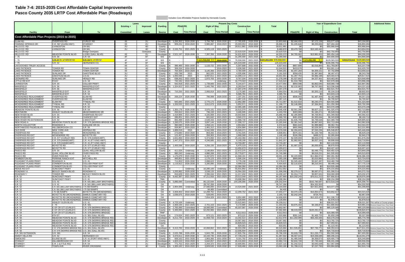### **Table 7-4: 2015-2035 Cost Affordable Capital Improvements Pasco County 2035 LRTP Cost Affordable Plan (Roadways)**

|                                                |                                                                                         |                                                           |                           |                 |                        |                          |                        | Includes Cost Affordable Projects funded by Hernando County |                        |                                                 |                        |                                                   |                            |                                   |                              |                                          |                                                                                     |
|------------------------------------------------|-----------------------------------------------------------------------------------------|-----------------------------------------------------------|---------------------------|-----------------|------------------------|--------------------------|------------------------|-------------------------------------------------------------|------------------------|-------------------------------------------------|------------------------|---------------------------------------------------|----------------------------|-----------------------------------|------------------------------|------------------------------------------|-------------------------------------------------------------------------------------|
|                                                |                                                                                         |                                                           | Lanes<br>Existing +       | <b>Improved</b> | <b>Fundina</b>         | PD&E/PE                  |                        | <b>Right of Way</b>                                         |                        | <b>Present Day Costs</b><br><b>Construction</b> |                        | <b>Total</b>                                      |                            | <b>Additional Notes</b>           |                              |                                          |                                                                                     |
| Facility                                       | From                                                                                    | To                                                        | <b>Committed</b>          | <b>Lanes</b>    | <b>Source</b>          | Cost                     | Time Period            | Cost                                                        | <b>Time Perioc</b>     | Cost                                            | Time Period            |                                                   | PD&E/PE                    | <b>Right of Wav</b>               | <b>Construction</b>          | Total                                    |                                                                                     |
| Cost Affordable Plan Projects (2015 to 2035)   |                                                                                         |                                                           |                           |                 |                        |                          |                        |                                                             |                        |                                                 |                        |                                                   |                            |                                   |                              |                                          |                                                                                     |
| ELAM RD                                        | <b>OVERPASS RD</b>                                                                      | <b>CURLEY RD</b>                                          | 00                        | 2U              | Developer              | 1,293,352                | 2026-2030              | 3,794,782                                                   | 2026-2030 \$           | 17,765,835                                      | 2026-2030              | 22,853,969                                        | \$2,444,435                | \$7.172.138                       | \$33,577,428                 | \$43.194.00                              |                                                                                     |
| FANNING SPRINGS DR                             | C.R. 587 (GUNN HWY)                                                                     | <b>STARKEY</b>                                            | 00                        | 2U              | Developer              | 909,231                  | 2016-2020              | 5.985.887                                                   | 2016-2020              | 20.003.05                                       | 2016-2020              | 26,898,171                                        | \$1,245,646                | \$8,200,666                       | \$27,404.18                  | \$36.850.49                              |                                                                                     |
| HILLS CO. RD<br>HILLS CO. RD                   | LIVINGSTON<br>LIVINGSTON                                                                | CR 581<br>CR 581                                          | 2U<br>2U                  | 4D<br>4D        | County<br>County       | 2,155,751                | 2021-2025              | 6,325,119                                                   | 2021-2025              | 29,611,981                                      | 2026-2030              | 29,611,98<br>8,480,87                             | \$3,470,760                | \$10,183,442                      | \$55,966,644                 | \$55.966.64<br>\$13,654,20               |                                                                                     |
| HILLS CO. RD                                   |                                                                                         | <b>Bridge Overpass</b>                                    |                           | Overpass        | County                 |                          |                        |                                                             |                        | 22,619,52                                       | 2026-2030              | 22,619,52                                         |                            |                                   | \$42,750,89                  | \$42,750,89                              |                                                                                     |
| HILLS CO. RD                                   | <b>MEADOW POINTE BLVD</b>                                                               | U.S301 (GALL BLVD)                                        | 00<br>4F                  | 2U              | Developer              | 2,521,197                | 2026-2030              | 7,397,356                                                   | 2026-2030              | 34.631.82                                       | 2026-2030              | 44.550.37                                         | \$4,765,062                | \$13.981.003                      | \$65.454.1                   | \$84,200.20                              |                                                                                     |
| - 75                                           | S.R. 56<br><b>C.R. 54 N. of SR/CR 54</b>                                                | C.R. 54<br>S.R. 52-N. of SR 52                            |                           | 6F              | SIS                    |                          |                        | $\sim$<br>5 <del>117,708,000</del> \$0                      |                        | 31,290,00                                       | 2021-2025              | 31,290,000<br><del>194,266,000</del> \$76,558,000 | \$0                        | \$0 <sup>1</sup> \$174,496,496 \$ | \$44,900,00                  | \$44,900,00<br>\$303.879.516 \$129.383.0 |                                                                                     |
| $-75$<br>$-75$                                 | S.R. 52                                                                                 | HERNANDO CO.                                              | 4F<br>4F                  | 6F<br>6F        | SIS<br>SIS             | $\sim$<br>$\sim$         |                        |                                                             | 2016-2020              | 76,558,000<br>125,533,00                        | 2021-2025<br>2016-2020 | 125,533,000                                       | \$0                        |                                   | \$129,383,02<br>\$186,096,7  | \$186,096,7                              |                                                                                     |
| ACOOCHEE-TRILBY ACCESS                         |                                                                                         |                                                           | 00                        | 2U              | County                 | 386,400                  | 2031-2035              | 1,133,722                                                   | 2031-2035              | 5,307,688                                       | 2031-2035              | 6,827,81                                          | \$857,808                  | \$2,516,863                       | \$11,783,0                   | \$15, 157, 73                            |                                                                                     |
| <b>LAKE PATIENCE</b>                           | <b>TOWER RD</b>                                                                         | <b>TOWN CENTER</b>                                        | $00\,$                    | 4D              | County                 | 306.334                  | 2016-2020              |                                                             | 2016-2020              | 9,938,580                                       | 2021-2025              | 10,244,91                                         | \$419,678                  |                                   | \$16,001,11                  | \$16,420,79                              |                                                                                     |
| <b>LAKE PATIENCE</b><br><b>LAKE PATIENCE</b>   | <b>TOWER RD</b><br>SUNLAKE DR                                                           | <b>TOWN CENTER</b><br>OAKSTEAD BLVD                       | 00<br>2U                  | 4D<br>4D        | Developer<br>County    | 764.426<br>293,799       | 2016-2020<br>2015      | 3.145.366<br>862,025                                        | 2016-2020<br>2021-2025 | 4.784.409<br>4,035,696                          | 2021-2025<br>2021-2025 | 8.694.20<br>5.191.52                              | \$1.047.264<br>\$358,435   | \$4,309,151<br>\$1.387.860        | \$7,702.89<br>\$6,497.471    | \$13.059.31<br>\$8,243.76                |                                                                                     |
| LAKE PATIENCE                                  | OAKSTEAD BLVD                                                                           | <b>U.S.41</b>                                             | 2U                        | 4D              | County                 | 1,055,536                | 2015                   | 3.097.011                                                   | 2021-2025              | 14.499.114                                      | 2021-2025              | 18.651.66                                         | \$1,287,754                | \$4.986.188                       | \$23.343.57                  | \$29,617,51                              |                                                                                     |
| EONARD RD.                                     | SUNLAKE DR                                                                              | <b>HENLEY RD</b>                                          | $00\,$                    | 2U              | County                 | 638,262                  | 2021-2025              | 1,872,703                                                   | 2031-2035              | 8,767,334                                       | 2031-2035              | 11,278,29                                         | \$1,027,602                | \$4,157,401                       | \$19,463,48                  | \$24,648,48                              |                                                                                     |
| LITTLE RD EXT<br><b>IVINGSTON</b>              | <b>FIVAY</b><br>S.R. 54                                                                 | <b>U.S. 19</b><br><b>COLLIER PKWY</b>                     | 4D<br>00                  | 6D<br>4D        | County<br>County       | 742,181<br>592,918       | 2016-2020<br>2021-202  | 1,739,660                                                   | Underway<br>2031-2035  | 16,773,343<br>8,144,477                         | 2016-2020<br>2031-2035 | 17,515,52<br>10.477.05                            | \$1,016,788<br>\$954,598   | \$0<br>\$3.862.045                | \$22,979,48<br>\$18,080.7    | \$23.996.26<br>\$22,897,38               |                                                                                     |
| MANSFIELD                                      | S.R. 56                                                                                 | <b>MANSFIELD EXT</b>                                      | $00\,$                    | 2U              | Developer              | 1,324,822                | 2021-2025              | 5,445,766                                                   | 2021-2025              | 8,283,544                                       | 2021-2025              | 15,054,13                                         | \$2,132,963                | \$8,767,683                       | \$13,336,50                  | \$24,237,15                              |                                                                                     |
| <b>MANSFIELD</b>                               | S.R. 56                                                                                 | <b>MANSFIELD EXT</b>                                      | 2U                        | 4D              | County                 |                          |                        |                                                             |                        | 17,207,279                                      | 2026-2030              | 17.207.27                                         | <b>.SO</b>                 | SO.                               | \$32,521,75                  | \$32,521,75                              |                                                                                     |
| <b>MANSFIELD</b><br><b>MANSFIELD</b>           | <b>MANSFIELD EXT</b><br><b>MANSFIELD EXT</b>                                            | S.R. 54<br>S.R. 54                                        | $00\,$<br>$00\,$          | 4D<br>4D        | Developer<br>County    | 710,250                  | 2021-2025              | 2,083,919                                                   | 2021-2025              | 3,170,38<br>6,585,79                            | 2021-2025<br>2021-2025 | 5,964,554<br>6,585,79                             | \$1,143,503                | \$3,355,110                       | \$5,104,3'<br>\$10,603,12    | \$9,602.93<br>\$10,603,12                |                                                                                     |
| MCKENDREE REALIGNMENT                          | <b>OVERPASS RD</b>                                                                      | <b>ELAM RD</b>                                            | 00                        | 4D              | Developer              | 268,224                  | 2026-2030              | 786,989                                                     | 2026-2030              | 1,197,291                                       | 2026-2030              | 2,252,504                                         | \$506,943                  | \$1,487,409                       | \$2,262,88                   | \$4,257,23                               |                                                                                     |
| MCKENDREE REALIGNMENT                          | OVERPASS RD                                                                             | ELAM RD                                                   | 00                        | 4D              | County                 |                          |                        |                                                             |                        | 2.487.11                                        | 2026-2030              | 2,487,11                                          |                            |                                   | \$4,700,64                   | \$4,700.64                               |                                                                                     |
| MCKENDREE REALIGNMENT<br>MCKENDREE REALIGNMENT | ELAM RD<br>TYNDAL RD                                                                    | <b>TYNDAL RD</b><br>S.R. 52                               | $00\,$<br>00              | 4D<br>4D        | County<br>Developeı    | 945,845<br>1,333,533     | 2021-2025<br>2021-2025 | 2,775,172<br>3,912,673                                      | 2026-2030<br>2026-2030 | 12,992,38<br>5,952,57                           | 2026-2030<br>2026-2030 | 16,713,39<br>11,198,77                            | \$1,522,810<br>\$2,146,988 | \$5,245,075<br>\$7,394,952        | \$24,555,59<br>\$11,250,36   | \$31,323,48<br>\$20,792,30               |                                                                                     |
| <b>MCKENDREE REALIGNMENT</b>                   | <b>TYNDAL RD</b>                                                                        | S.R. 52                                                   | 00                        | 4D              | County                 |                          |                        |                                                             |                        | 12,365,185                                      | 2026-2030              | 12,365,18                                         | -SC                        | \$0                               | \$23,370.19                  | \$23.370.19                              |                                                                                     |
| <b>MEADOW POINTE BLVD</b>                      | S.R. 56                                                                                 | S.R. 54                                                   | 2U                        | 4D              | County                 | 1,355,178                | 2026-2030              | 3,976,181                                                   | 2031-2035              | 18.615.07                                       | 2031-2035              | 23.946.438                                        | \$2,561,286                | \$8,827,122                       | \$41,325.47                  | \$52.713.88                              |                                                                                     |
| MENTMORE<br>NEW RIVER BLVD                     | ASHLEY GLEN BLVD<br>S.R. 54                                                             | <b>MEADOWBROOK DR</b><br><b>OVERPASS RD EXT</b>           | $00\,$<br>00 <sup>1</sup> | 2U<br>2U        | Developeı<br>Developer | 250,912<br>1.419.806     | 2021-2025<br>2021-2025 | 736,193<br>4.165.808                                        | 2021-2025<br>2021-2025 | 3,446,59<br>19,502,846                          | 2021-2025<br>2021-2025 | 4,433,70<br>25,088,460                            | \$403,968<br>\$2,285,888   | \$1,185,271<br>\$6,706.951        | \$5,549,018<br>\$31.399.58   | \$7.138.25<br>\$40,392,42                |                                                                                     |
| NEW RIVER RD                                   | S.R. 56                                                                                 | <b>CHANCEY EXT</b>                                        | $00\,$                    | 2U              | Developer              | 286,851                  | 2021-2025              | 841,642                                                     | 2021-2025              | 3,940,272                                       | 2021-2025              | 5,068,76                                          | \$461,830                  | \$1,355,044                       | \$6,343,83                   | \$8,160,71                               |                                                                                     |
| NEW RIVER RD EXTENSION                         | S.R. 54                                                                                 | Z.WEST EXT                                                | $00\,$                    | 2U              | Develope               | 865,499                  | 2026-2030              | 2,539,433                                                   | 2026-2030              | 11,888,730                                      | 2026-2030              | 15,293,662                                        | \$1,635,793                | \$4,799,528                       | \$22,469,70                  | \$28,905,02                              |                                                                                     |
| NEW ROAD A<br>NORTH COLLECTOR                  | <b>MEADOW POINTE BLVD</b><br>ROADWAY /                                                  | C.R. 579 (MORRIS BRIDGE RD)<br><b>SUNLAKE DR (</b>        | 00<br>00                  | 2U<br>2U        | Developeı              | 1,260,075<br>360,640     | 2026-2030              | 3,697,144<br>1,058,141                                      | 2026-2030              | 17,308,727<br>4,953,842                         | 2026-2030              | 22,265,946<br>6,372,62                            | \$2,381,542<br>\$681,610   | \$6,987,602<br>\$1,999,886        | \$32.713.49<br>\$9,362,76    | \$42,082.63<br>\$12,044,25               |                                                                                     |
| NORTHWOOD PALMS BLVD                           | HILLSBOROUGH CO                                                                         | S.R. 56                                                   | $00\,$                    | 2U              | Developeı<br>Developer | 504,867                  | 2026-2030<br>2016-2020 | 1.481.312                                                   | 2026-2030<br>2016-2020 | 6.934.984                                       | 2026-2030<br>2016-2020 | 8,921,16                                          | \$691,668                  | \$2,029,397                       | \$9,500,92                   | \$12,221,99                              |                                                                                     |
| OLD DIXIE                                      | <b>NEW YORK AVE</b>                                                                     | <b>ARIPEKA RD</b>                                         | $00\,$                    | 2U              | Developeı              | 1,889,019                | 2015                   | 5,542,508                                                   | 2016-2020              | 25,948,07                                       | 2016-2020              | 33,379,59                                         | \$2,304,603                | \$7,593,236                       | \$35,548,85                  | \$45,446,69                              |                                                                                     |
| <b>OVERPASS RD</b><br><b>OVERPASS RD EXT</b>   | PASCO RD<br><b>MCKENDREE RD</b>                                                         | <b>MCKENDREE RD</b><br><b>BOYETTE RD</b>                  | 2U<br>2U                  | 4D<br>4D        | County<br>County       | 273,840                  | 2016-2020              | 803.466                                                     | 2016-2020              | 3,761,545<br>1,668,368                          | 2016-2020              | 4.838.85<br>2.146.18                              | \$375,161<br>\$166,396     | \$1,100.748<br>\$488.217          | \$5.153.31<br>\$2,285,664    | \$6,629.22<br>\$2,940.27                 |                                                                                     |
| OVERPASS RD EXT                                | C.R. 577 (CURLEY RD)                                                                    | C.R. 579 (HANDCART)                                       | 00                        | 4D              | County                 | 121,457<br>1,831,893     | 2016-2020<br>2016-2020 | 356,363<br>5.374.894                                        | 2016-2020<br>2021-2025 | 25,163,360                                      | 2016-2020<br>2021-2025 | 32,370,147                                        | \$2,509,693                | \$8,653,579                       | \$40,513,01                  | \$51,676,28                              |                                                                                     |
| <b>OVERPASS RD EXT</b>                         | C.R. 579 (HANDCART)                                                                     | C.R. 41 (FT KING HWY)                                     | $00\,$                    | 4D              | Develope               | 1,447,373                | 2016-2020              | 4,246,685                                                   | 2021-2025              | 6,148,199                                       | 2021-2025              | 11,842,25                                         | \$1,982,901                | \$6,837,163                       | \$9,898,60                   | \$18,718,66                              |                                                                                     |
| OVERPASS RD EXT                                | C.R. 579 (HANDCART)                                                                     | C.R. 41 (FT KING HWY)                                     | 00                        | 4D              | County                 |                          |                        |                                                             |                        | 13,733,287                                      | 2021-2025              | 13.733.28                                         | -SC                        |                                   | \$22,110,59                  | \$22,110,59                              |                                                                                     |
| OVERPASS RD EXT<br><b>OVERPASS RD EXT</b>      | <b>BOYETTE RD</b><br><b>BOYETTE RD</b>                                                  | C.R. 577 (CURLEY RD)<br>C.R. 577 (CURLEY RD)              | $00\,$<br>00              | 4D<br>4D        | Developer<br>County    | 1,450,598                | 2016-2020              | 4,256,150                                                   | 2016-2020              | 6,475,123<br>13.450.67                          | 2016-2020<br>2016-2020 | 12,181,87<br>13.450.67                            | \$1,987,319<br>\$0         | \$5,830,926<br>-SO I              | \$8,870,91<br>\$18,427,422   | \$16,689.1<br>\$18,427.42                |                                                                                     |
| PASCO RD                                       | S.R. 54                                                                                 | <b>QUAIL HOLLOW BLVD</b>                                  | 2U                        | 4D              | County                 | 411,024                  | Underway               | 2.140.854                                                   | 2021-2025              | 12,672,37                                       | 2021-2025              | 15,224,25                                         | \$0                        | \$3.446.775                       | \$20.402.52                  | \$23.849.29                              |                                                                                     |
| PASCO RD                                       | <b>QUAIL HOLLOW BLVD</b>                                                                | <b>OVER PASS RD</b>                                       | 2U                        | 4D              | County                 | 980,243                  | Underway               | 4,980,268                                                   | 2021-2025              | 25,779,877                                      | 2021-2025              | 31.740.388                                        | ፍር                         | \$8.018.231                       | \$41,505,60                  | \$49,523,83                              |                                                                                     |
| PASCO RD<br>PEMBERTON RD                       | OVER PASS RD<br>PERRINE RANCH EXT                                                       | S.R. 52<br><b>MITCHELL RD</b>                             | 2U<br>00                  | 4D<br>2U        | County<br>Develope     | 1,175,079<br>400,851     | 2026-2030<br>2031-2035 | 6,287,870<br>1,176,123                                      | 2026-2030<br>2031-2035 | 41,568,181<br>5,506,19                          | 2031-2035<br>2031-2035 | 49,031,130<br>7,083,16                            | \$2,220,899<br>\$889,889   | \$11.884.074<br>\$2.610.993       | \$92,281,36<br>\$12,223,75   | \$106,386,33<br>\$15,724,63              |                                                                                     |
| PLEASANT PLAINS PKWY                           | ROADWAY A                                                                               | U.S. 41                                                   | 00                        | 2U              | Develope               | 711.853                  | 2026-2030              | 2,088,623                                                   | 2026-2030              | 9,778,196                                       | 2026-2030              | 12,578,672                                        | \$1,345,402                | \$3.947.497                       | \$18,480,79                  | \$23,773.69                              |                                                                                     |
| PLEASANT PLAINS PKWY                           | <b>CONNERTON BLVD</b>                                                                   | <b>COLLIER PRWY EXT</b>                                   | 00                        | 4D.             | Developer <b>I</b>     | \$1.119.912 2026-2030 \$ |                        |                                                             | 3.285.895 2026-2030    |                                                 | 4,999,018 2026-2030    |                                                   | 9,404,825 \$2,116,634      | \$6,210,342                       | \$9,448,144                  | \$17,775,11                              |                                                                                     |
| PLEASANT PLAINS PKWY<br>RIDGE RD EXT           | CONNERTON BLVD<br>SUNCOAST PKWY                                                         | <b>COLLIER PKWY EXT</b><br><b>U.S. 41</b>                 | $00\,$<br>00              | 4D<br>4D        | County<br>County       |                          | Underway               | 10,280,160                                                  | Underway               | 10,384,384<br>55.631.892                        | 2026-2030<br>2016-2020 | 10,384,384<br>65.912.052                          | \$0<br>\$Ր                 | \$0<br>\$0                        | \$19,626,486<br>\$76,215,69  | \$19,626,486<br>\$76.215.692             |                                                                                     |
| ROADWAY A                                      | <b>BEXLEY RANCH BLVD</b>                                                                | ROADWAY C                                                 | 00                        | 2U              | Developer              | 1,205,882                | 2026-2030              | 3,538,133                                                   | 2026-2030              | 16,564,293                                      | 2026-2030              | 21.308.308                                        | \$2,279,117                | \$6.687.071                       | \$31.306.514                 | \$40,272,702                             |                                                                                     |
| ROADWAY I                                      | TOWER RD                                                                                | <b>BEXLEY RANCH BLVD</b>                                  | 00                        | 2U              | Developer              | 816,629                  | 2021-2025              | 2,396,044                                                   | 2021-2025              | 11,217,434                                      | 2021-2025              | 14.430.107                                        | \$1,314,773                | \$3.857.631                       | \$18,060,069                 | \$23.232.472                             |                                                                                     |
| S.R. 52<br>S.R. 52                             | SUNCOAST PKWY<br>SUNCOAST PKWY                                                          | U.S. 41<br>U.S. 41                                        | 2U<br>2U                  | 6D<br>6D        | County<br><b>TMA</b>   | 9,442,387                | 2021-2025              | 47,211,933                                                  | 2021-2025              | 23,513,549<br>23,698,384                        | 2021-2025<br>2021-2025 | 80,167,869<br>23,698,384                          | \$15,202,243               | \$76,011,212                      | \$37,856,814<br>\$38,154,39  | \$129,070,26<br>\$38,154,39              |                                                                                     |
| S.R. 52                                        | U.S. 41                                                                                 | C.R. 581 (BELLAMY BROTHERS)                               | 2U                        | 4D              | County                 | 5,880,000                | Committed              | 86,132,644                                                  | 2026-2030              | 144,190,000                                     | 2026-2030              | 236,202,644                                       | \$0                        | \$162,790,697                     | \$272,519,10                 | \$435,309,797                            | evenue (Impact Fees, Prop Share)                                                    |
| S.R. 52                                        | <b>U.S. 41</b>                                                                          | C.R. 581 (BELLAMY BROTHERS)                               | 2U                        | 4D              | OA                     |                          |                        | 28,747,356                                                  | 2026-2030              |                                                 |                        | 28,747,356                                        | \$0                        | \$54,332,503                      |                              | \$54,332,50                              |                                                                                     |
| S.R. 52<br>S.R. 52                             | C.R. 581 (BELLAMY BROTHERS) 1-75 SB RAMPS<br>C.R. 581 (BELLAMY BROTHERS) II-75 SB RAMPS |                                                           | 2U<br>2U                  | 4D<br>4D        | OA<br>OA               | 2,904,000                | Underway               | 27,680,000<br>84.405                                        | 2016-2020<br>Committed | 14,520,000                                      | 2021-2025              | 45.104.000<br>84.405                              | $\frac{1}{30}$<br>\$0      | \$37.921.600                      | \$23,377,200                 | \$61,298,80                              |                                                                                     |
| S.R. 52                                        | I-75 SB RAMPS                                                                           | BOYETTE RD (MCKENDREE)                                    | 4D                        | 6D              | OA                     | 2.459.953                | 2016-2020              | 12,299,762                                                  | 2016-2020              | 12.299.762 2021-2025                            |                        | 27,059,477                                        | \$3,370,136                | \$16,850,674                      | \$19,802,61                  | \$40.023.426                             |                                                                                     |
| S.R. 52                                        | BOYETTE RD (MCKENDREE) EMMUS CEMETARY RD                                                |                                                           | 2U                        | 4D              | OA                     | 1,636,675                | 2016-2020              | 529,045                                                     | 2016-2020              |                                                 |                        | 2,165,720                                         | \$2,242,245                | \$724,792                         |                              | \$2,967,036                              |                                                                                     |
| S.R. 52<br>S.R. 52                             | BOYETTE RD (MCKENDREE) EMMUS CEMETARY RD<br>BOYETTE RD (MCKENDREE) EMMUS CEMETARY RD    |                                                           | 2U<br>2U                  | 4D<br>4D        | OA<br>County           |                          |                        | 7,654,329                                                   | 2021-2025              | 6,954,480<br>1,228,894                          | 2021-2025<br>2021-2025 | 14,608,809<br>1,228,894                           | \$0<br>\$0                 | \$12,323,470<br>SOI.              | \$11,196,713<br>\$1,978,519  | \$23,520,182<br>\$1,978,51               |                                                                                     |
| S.R. 54                                        | ASHLEY GLEN BLVD.                                                                       | <b>U.S. 41</b>                                            | 4D                        | 6D              | County                 | 4,723,169                | Underway               |                                                             |                        | 23,615,843                                      | 2021-2025              | 28.339.012                                        | \$0                        | \$0                               | \$38,021,507                 |                                          | \$38,021,507 This will be a County project.                                         |
| S.R. 54                                        | $1 - 75$                                                                                | S.R. 581                                                  | 6D                        | 8D              | County                 | 2,469,194                | 2021-2025              | 2,701,163                                                   | 2021-2025              | 6,172,985                                       | 2026-2030              | 11,343,342                                        | \$3,975,402                | \$4,348,872                       | \$11,666,942                 | \$19,991,216                             | tevenue (Impact Fees, Prop Share)                                                   |
| S.R. 54<br>S.R. 54                             | E OF CR 577 (CURLEY)<br>E OF CR 577 (CURLEY)                                            | C.R. 579 (MORRIS BRIDGE)<br>C.R. 579 (MORRIS BRIDGE)      | 2U<br>2U                  | 4D<br>4D        | County<br>County       | 2,765,000<br>5,300,000   | Committed<br>2021-2025 | 18.000.000<br>62,292,965                                    | Committed<br>2021-2025 | 45,037,087                                      | 2026-2030              | 65.802.087<br>67,592,965                          | .SC<br>\$8,533,000         | SO I<br>\$100,291,673             | \$85,120,095                 | \$85.120.095<br>\$108.824.67             | levenue (Impact Fees, Prop Share)                                                   |
| S.R.54                                         | E OF CR 577 (CURLEY)                                                                    | C.R. 579 (MORRIS BRIDGE)                                  | 2U                        | 4D              | <b>TRIP</b>            |                          |                        |                                                             |                        | 8,512,913                                       | 2026-2030              | 8,512,913                                         | \$0                        | \$01                              | \$16.089.405                 | \$16,089,405                             | levenue (Impact Fees, Prop Share)                                                   |
| S.R. 54                                        | 6TH ST                                                                                  | U.S. 301 (GALL BLVD)                                      | 2U                        | 4D              | County                 | 174,624                  | 2021-2025              | 873,121                                                     | 2021-2025              | 873,121                                         | 2026-2030              | 1,920,866                                         | \$281,145                  | \$1,405,725                       | \$1,650,199                  | \$3,337,068                              | Revenue (Impact Fees, Prop Share)                                                   |
| S.R. 56                                        | <b>MEADOW POINTE BLVD</b>                                                               | C.R. 579 (MORRIS BRIDGE RD)                               | 00                        | 4D              | Developer              | 8,211,744                | 2016-2020              | 41,058,720                                                  | 2016-2020              | 13,342,514                                      | 2016-2020              | 62,612,978                                        | \$11,250,089               | \$56,250,446                      | \$18,279,244                 | \$85,779,78                              |                                                                                     |
| S.R. 56<br>S.R. 56                             | MEADOW POINTE BLVD<br>MEADOW POINTE BLVD                                                | C.R. 579 (MORRIS BRIDGE RD<br>C.R. 579 (MORRIS BRIDGE RD) | 00<br>00                  | 4D<br>4D        | County<br>County       |                          |                        |                                                             |                        | 10,067,682<br>16,828,523                        | 2016-2020<br>2021-2025 | 10,067,682<br>16,828,523                          | \$0<br>\$0                 | \$01<br>\$0                       | \$13,792,725<br>\$27,093,921 | \$27,093,92                              | \$13,792,725 Revenue (Impact Fees, Prop Share)                                      |
| S.R. 56                                        | MEADOW POINTE BLVD                                                                      | C.R. 579 (MORRIS BRIDGE RD)                               | 00                        | 4D              | OA                     |                          |                        |                                                             |                        | 820,001                                         | 2016-2020              | 820.001                                           | SO I                       | SO I                              | \$1.123.401                  | \$1,123,401                              |                                                                                     |
| S.R. 56                                        | C.R. 579 (MORRIS BRIDGE RD) U.S. 301 (GALL BLVD)                                        |                                                           | $00\,$                    | 2U              | Developer              | 8,413,760                | 2016-2020              | 42.068.802                                                  | 2021-2025              | 30.033.298                                      | 2021-2025              | 80.515.860                                        | \$11,526,851               | \$67,730,771                      | \$48,353,61                  | \$127.611.231                            | Revenue (Impact Fees, Prop Share)                                                   |
| S.R. 56<br>S.R. 581 EXTENSION                  | C.R. 579 (MORRIS BRIDGE RD) U.S. 301 (GALL BLVD)<br>S.R. 581                            | S.R. 54                                                   | 2U<br>00                  | 4D<br>6D        | County<br>County       | 2,025,788                | 2026-2030              | 5,943,795                                                   | 2026-2030              | 12,035,504<br>27,826,756                        | 2031-2035<br>2026-2030 | 12,035,504<br>35,796,339                          | -90<br>\$3.828.739         | <b>SO</b><br>\$11.233.773         | \$26,718,819<br>\$52,592,569 | \$67.655.081                             | \$26,718,819 Revenue (Impact Fees, Prop Share)<br>levenue (Impact Fees, Prop Share) |
| SHADY HILLS RD                                 | S.R. 52                                                                                 | <b>HERNANDO CO</b>                                        | 2U                        | 4D              | County                 | 3,474,611                | 2026-2030              | 10,194,735                                                  | 2026-2030              | 47,728,156                                      | 2026-2030              | 61,397,502                                        | \$6,567,015                | \$19,268,049                      | \$90,206,215                 | \$116,041,27                             |                                                                                     |
| SIMON RD                                       | EILAND BLVD                                                                             | C.R. 41 (FORT KING HWY)                                   | $00\,$                    | 2U              | County                 | 669,162                  | 2031-2035              | 1,963,366                                                   | 2031-2035              | 9,191,792                                       | 2031-2035              | 11,824,320                                        | \$1,485,540                | \$4,358,673                       | \$20,405,778                 | \$26,249,990                             |                                                                                     |
| STANLEY<br>STARKEY                             | HILLSBOROUGH CO<br>C.R. 1 (LITTLE RD)                                                   | S.R. 54<br>S.R. 54                                        | $00\,$<br>$00\,$          | 2U<br>2U        | Developer              | 1,923,153<br>771,752     | 2016-2020<br>2021-2025 | 5,642,657<br>2,264,372                                      | 2016-2020              | 26,416,933<br>10,600,991                        | 2016-2020<br>2021-2025 | 33,982,743<br>13,637,11                           | \$2,634,720                | \$7,730,440<br>\$3,645,639        | \$36,191,198<br>\$17,067,596 | \$46,556,358<br>\$21,955,75              |                                                                                     |
| STARKEY                                        | TOWN AVE                                                                                | <b>RIVER CROSSING</b>                                     | 2U                        | 4D              | Developer<br>County    | 5, 1,305,192             | 2016-2020              | 3,829,520                                                   | 2021-2025<br>2026-2030 | 17,928,468                                      | 2026-2030              | 23,063,180                                        | \$1,242,521<br>\$1,788,113 | \$7,237,793                       | \$33,884,805                 | \$42,910,710                             |                                                                                     |